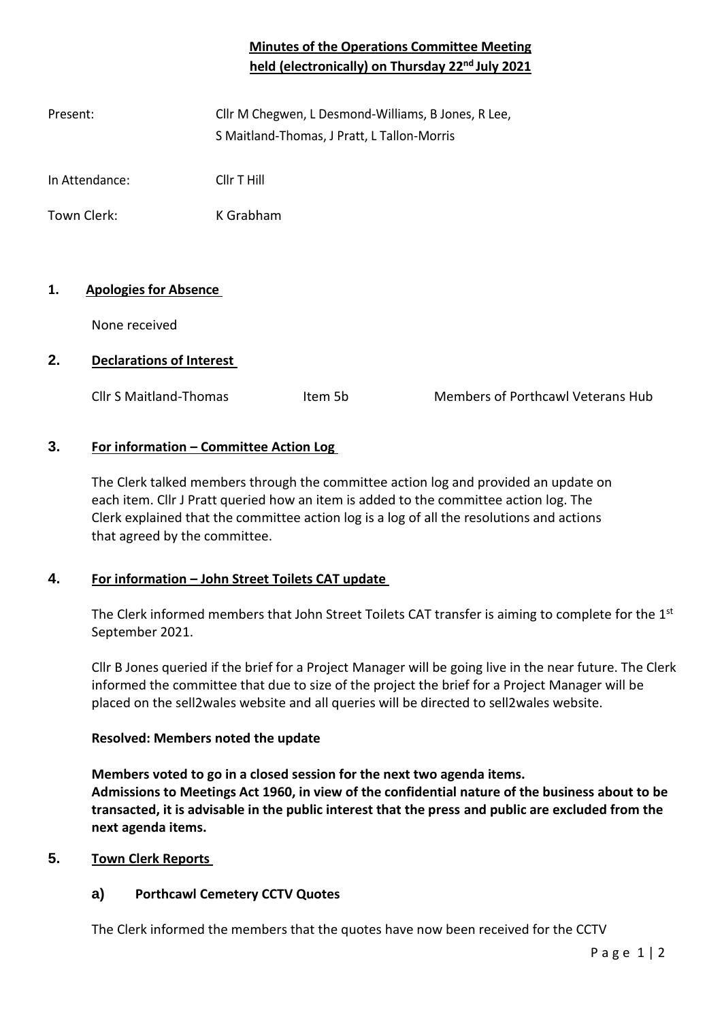# **Minutes of the Operations Committee Meeting held (electronically) on Thursday 22nd July 2021**

| Present: | Cllr M Chegwen, L Desmond-Williams, B Jones, R Lee, |
|----------|-----------------------------------------------------|
|          | S Maitland-Thomas, J Pratt, L Tallon-Morris         |

In Attendance: Cllr T Hill

Town Clerk: K Grabham

# **1. Apologies for Absence**

None received

# **2. Declarations of Interest**

Cllr S Maitland-Thomas Them 5b Members of Porthcawl Veterans Hub

# **3. For information – Committee Action Log**

The Clerk talked members through the committee action log and provided an update on each item. Cllr J Pratt queried how an item is added to the committee action log. The Clerk explained that the committee action log is a log of all the resolutions and actions that agreed by the committee.

# **4. For information – John Street Toilets CAT update**

The Clerk informed members that John Street Toilets CAT transfer is aiming to complete for the  $1<sup>st</sup>$ September 2021.

Cllr B Jones queried if the brief for a Project Manager will be going live in the near future. The Clerk informed the committee that due to size of the project the brief for a Project Manager will be placed on the sell2wales website and all queries will be directed to sell2wales website.

#### **Resolved: Members noted the update**

**Members voted to go in a closed session for the next two agenda items. Admissions to Meetings Act 1960, in view of the confidential nature of the business about to be transacted, it is advisable in the public interest that the press and public are excluded from the next agenda items.** 

# **5. Town Clerk Reports**

# **a) Porthcawl Cemetery CCTV Quotes**

The Clerk informed the members that the quotes have now been received for the CCTV